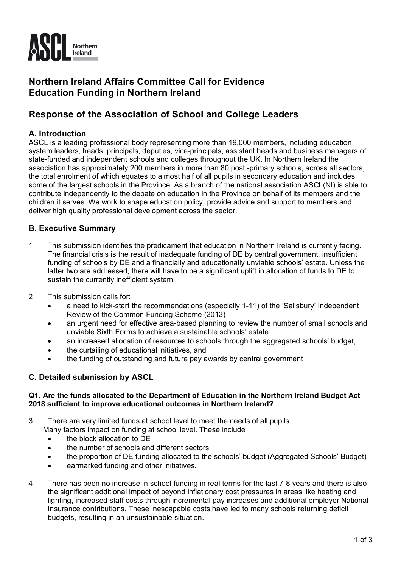

# **Northern Ireland Affairs Committee Call for Evidence Education Funding in Northern Ireland**

# **Response of the Association of School and College Leaders**

## **A. Introduction**

ASCL is a leading professional body representing more than 19,000 members, including education system leaders, heads, principals, deputies, vice-principals, assistant heads and business managers of state-funded and independent schools and colleges throughout the UK. In Northern Ireland the association has approximately 200 members in more than 80 post -primary schools, across all sectors, the total enrolment of which equates to almost half of all pupils in secondary education and includes some of the largest schools in the Province. As a branch of the national association ASCL(NI) is able to contribute independently to the debate on education in the Province on behalf of its members and the children it serves. We work to shape education policy, provide advice and support to members and deliver high quality professional development across the sector.

## **B. Executive Summary**

- 1 This submission identifies the predicament that education in Northern Ireland is currently facing. The financial crisis is the result of inadequate funding of DE by central government, insufficient funding of schools by DE and a financially and educationally unviable schools' estate. Unless the latter two are addressed, there will have to be a significant uplift in allocation of funds to DE to sustain the currently inefficient system.
- 2 This submission calls for:
	- a need to kick-start the recommendations (especially 1-11) of the 'Salisbury' Independent Review of the Common Funding Scheme (2013)
	- an urgent need for effective area-based planning to review the number of small schools and unviable Sixth Forms to achieve a sustainable schools' estate,
	- an increased allocation of resources to schools through the aggregated schools' budget,
	- the curtailing of educational initiatives, and
	- the funding of outstanding and future pay awards by central government

### **C. Detailed submission by ASCL**

#### **Q1. Are the funds allocated to the Department of Education in the Northern Ireland Budget Act 2018 sufficient to improve educational outcomes in Northern Ireland?**

- 3 There are very limited funds at school level to meet the needs of all pupils. Many factors impact on funding at school level. These include
	- the block allocation to DE
	- the number of schools and different sectors
	- the proportion of DE funding allocated to the schools' budget (Aggregated Schools' Budget)
	- earmarked funding and other initiatives.
- 4 There has been no increase in school funding in real terms for the last 7-8 years and there is also the significant additional impact of beyond inflationary cost pressures in areas like heating and lighting, increased staff costs through incremental pay increases and additional employer National Insurance contributions. These inescapable costs have led to many schools returning deficit budgets, resulting in an unsustainable situation.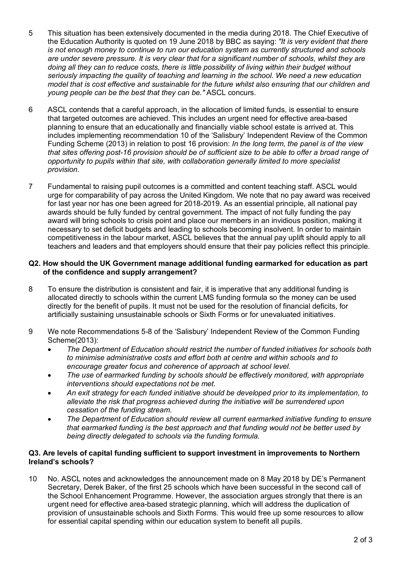- 5 This situation has been extensively documented in the media during 2018. The Chief Executive of the Education Authority is quoted on 19 June 2018 by BBC as saying: *"It is very evident that there is not enough money to continue to run our education system as currently structured and schools are under severe pressure. It is very clear that for a significant number of schools, whilst they are doing all they can to reduce costs, there is little possibility of living within their budget without seriously impacting the quality of teaching and learning in the school. We need a new education model that is cost effective and sustainable for the future whilst also ensuring that our children and young people can be the best that they can be."* ASCL concurs.
- 6 ASCL contends that a careful approach, in the allocation of limited funds, is essential to ensure that targeted outcomes are achieved. This includes an urgent need for effective area-based planning to ensure that an educationally and financially viable school estate is arrived at. This includes implementing recommendation 10 of the 'Salisbury' Independent Review of the Common Funding Scheme (2013) in relation to post 16 provision: *In the long term, the panel is of the view that sites offering post-16 provision should be of sufficient size to be able to offer a broad range of opportunity to pupils within that site, with collaboration generally limited to more specialist provision.*
- 7 Fundamental to raising pupil outcomes is a committed and content teaching staff. ASCL would urge for comparability of pay across the United Kingdom. We note that no pay award was received for last year nor has one been agreed for 2018-2019. As an essential principle, all national pay awards should be fully funded by central government. The impact of not fully funding the pay award will bring schools to crisis point and place our members in an invidious position, making it necessary to set deficit budgets and leading to schools becoming insolvent. In order to maintain competitiveness in the labour market, ASCL believes that the annual pay uplift should apply to all teachers and leaders and that employers should ensure that their pay policies reflect this principle.

#### **Q2. How should the UK Government manage additional funding earmarked for education as part of the confidence and supply arrangement?**

- 8 To ensure the distribution is consistent and fair, it is imperative that any additional funding is allocated directly to schools within the current LMS funding formula so the money can be used directly for the benefit of pupils. It must not be used for the resolution of financial deficits, for artificially sustaining unsustainable schools or Sixth Forms or for unevaluated initiatives.
- 9 We note Recommendations 5-8 of the 'Salisbury' Independent Review of the Common Funding Scheme(2013):
	- *The Department of Education should restrict the number of funded initiatives for schools both to minimise administrative costs and effort both at centre and within schools and to encourage greater focus and coherence of approach at school level.*
	- *The use of earmarked funding by schools should be effectively monitored, with appropriate interventions should expectations not be met.*
	- *An exit strategy for each funded initiative should be developed prior to its implementation, to alleviate the risk that progress achieved during the initiative will be surrendered upon cessation of the funding stream.*
	- *The Department of Education should review all current earmarked initiative funding to ensure that earmarked funding is the best approach and that funding would not be better used by being directly delegated to schools via the funding formula.*

#### **Q3. Are levels of capital funding sufficient to support investment in improvements to Northern Ireland's schools?**

10 No. ASCL notes and acknowledges the announcement made on 8 May 2018 by DE's Permanent Secretary, Derek Baker, of the first 25 schools which have been successful in the second call of the School Enhancement Programme. However, the association argues strongly that there is an urgent need for effective area-based strategic planning, which will address the duplication of provision of unsustainable schools and Sixth Forms. This would free up some resources to allow for essential capital spending within our education system to benefit all pupils.